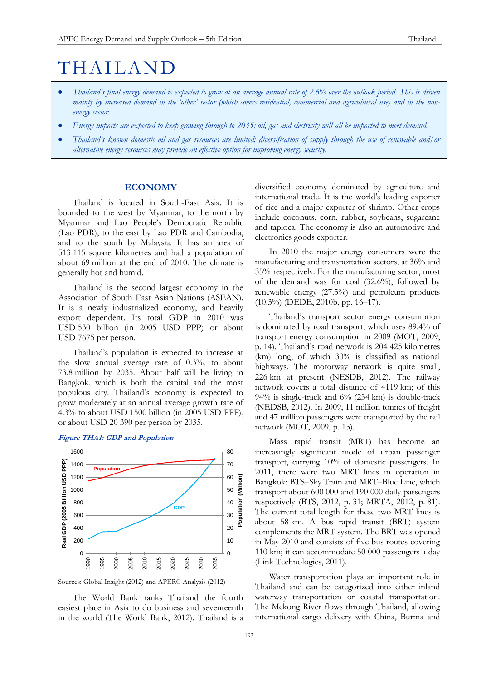# THAILAND

- *Thailand's final energy demand is expected to grow at an average annual rate of 2.6% over the outlook period. This is driven mainly by increased demand in the 'other' sector (which covers residential, commercial and agricultural use) and in the nonenergy sector.*
- *Energy imports are expected to keep growing through to 2035; oil, gas and electricity will all be imported to meet demand.*
- *Thailand's known domestic oil and gas resources are limited; diversification of supply through the use of renewable and/or alternative energy resources may provide an effective option for improving energy security.*

# **ECONOMY**

Thailand is located in South-East Asia. It is bounded to the west by Myanmar, to the north by Myanmar and Lao People's Democratic Republic (Lao PDR), to the east by Lao PDR and Cambodia, and to the south by Malaysia. It has an area of 513 115 square kilometres and had a population of about 69 million at the end of 2010. The climate is generally hot and humid.

Thailand is the second largest economy in the Association of South East Asian Nations (ASEAN). It is a newly industrialized economy, and heavily export dependent. Its total GDP in 2010 was USD 530 billion (in 2005 USD PPP) or about USD 7675 per person.

Thailand's population is expected to increase at the slow annual average rate of 0.3%, to about 73.8 million by 2035. About half will be living in Bangkok, which is both the capital and the most populous city. Thailand's economy is expected to grow moderately at an annual average growth rate of 4.3% to about USD 1500 billion (in 2005 USD PPP), or about USD 20 390 per person by 2035.





Sources: Global Insight (2012) and APERC Analysis (2012)

The World Bank ranks Thailand the fourth easiest place in Asia to do business and seventeenth in the world (The World Bank, 2012). Thailand is a diversified economy dominated by agriculture and international trade. It is the world's leading exporter of rice and a major exporter of shrimp. Other crops include coconuts, corn, rubber, soybeans, sugarcane and tapioca. The economy is also an automotive and electronics goods exporter.

In 2010 the major energy consumers were the manufacturing and transportation sectors, at 36% and 35% respectively. For the manufacturing sector, most of the demand was for coal (32.6%), followed by renewable energy (27.5%) and petroleum products (10.3%) (DEDE, 2010b, pp. 16–17).

Thailand's transport sector energy consumption is dominated by road transport, which uses 89.4% of transport energy consumption in 2009 (MOT, 2009, p. 14). Thailand's road network is 204 425 kilometres (km) long, of which 30% is classified as national highways. The motorway network is quite small, 226 km at present (NESDB, 2012). The railway network covers a total distance of 4119 km; of this 94% is single-track and 6% (234 km) is double-track (NEDSB, 2012). In 2009, 11 million tonnes of freight and 47 million passengers were transported by the rail network (MOT, 2009, p. 15).

Mass rapid transit (MRT) has become an increasingly significant mode of urban passenger transport, carrying 10% of domestic passengers. In 2011, there were two MRT lines in operation in Bangkok: BTS–Sky Train and MRT–Blue Line, which transport about 600 000 and 190 000 daily passengers respectively (BTS, 2012, p. 31; MRTA, 2012, p. 81). The current total length for these two MRT lines is about 58 km. A bus rapid transit (BRT) system complements the MRT system. The BRT was opened in May 2010 and consists of five bus routes covering 110 km; it can accommodate 50 000 passengers a day (Link Technologies, 2011).

Water transportation plays an important role in Thailand and can be categorized into either inland waterway transportation or coastal transportation. The Mekong River flows through Thailand, allowing international cargo delivery with China, Burma and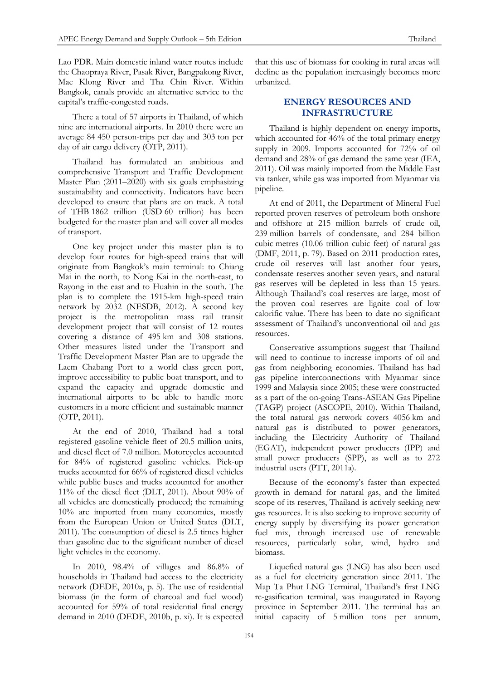Lao PDR. Main domestic inland water routes include the Chaopraya River, Pasak River, Bangpakong River, Mae Klong River and Tha Chin River. Within Bangkok, canals provide an alternative service to the capital's traffic-congested roads.

There a total of 57 airports in Thailand, of which nine are international airports. In 2010 there were an average 84 450 person-trips per day and 303 ton per day of air cargo delivery (OTP, 2011).

Thailand has formulated an ambitious and comprehensive Transport and Traffic Development Master Plan (2011–2020) with six goals emphasizing sustainability and connectivity. Indicators have been developed to ensure that plans are on track. A total of THB 1862 trillion (USD 60 trillion) has been budgeted for the master plan and will cover all modes of transport.

One key project under this master plan is to develop four routes for high-speed trains that will originate from Bangkok's main terminal: to Chiang Mai in the north, to Nong Kai in the north-east, to Rayong in the east and to Huahin in the south. The plan is to complete the 1915-km high-speed train network by 2032 (NESDB, 2012). A second key project is the metropolitan mass rail transit development project that will consist of 12 routes covering a distance of 495 km and 308 stations. Other measures listed under the Transport and Traffic Development Master Plan are to upgrade the Laem Chabang Port to a world class green port, improve accessibility to public boat transport, and to expand the capacity and upgrade domestic and international airports to be able to handle more customers in a more efficient and sustainable manner (OTP, 2011).

At the end of 2010, Thailand had a total registered gasoline vehicle fleet of 20.5 million units, and diesel fleet of 7.0 million. Motorcycles accounted for 84% of registered gasoline vehicles. Pick-up trucks accounted for 66% of registered diesel vehicles while public buses and trucks accounted for another 11% of the diesel fleet (DLT, 2011). About 90% of all vehicles are domestically produced; the remaining 10% are imported from many economies, mostly from the European Union or United States (DLT, 2011). The consumption of diesel is 2.5 times higher than gasoline due to the significant number of diesel light vehicles in the economy.

In 2010, 98.4% of villages and 86.8% of households in Thailand had access to the electricity network (DEDE, 2010a, p. 5). The use of residential biomass (in the form of charcoal and fuel wood) accounted for 59% of total residential final energy demand in 2010 (DEDE, 2010b, p. xi). It is expected

that this use of biomass for cooking in rural areas will decline as the population increasingly becomes more urbanized.

# **ENERGY RESOURCES AND INFRASTRUCTURE**

Thailand is highly dependent on energy imports, which accounted for 46% of the total primary energy supply in 2009. Imports accounted for 72% of oil demand and 28% of gas demand the same year (IEA, 2011). Oil was mainly imported from the Middle East via tanker, while gas was imported from Myanmar via pipeline.

At end of 2011, the Department of Mineral Fuel reported proven reserves of petroleum both onshore and offshore at 215 million barrels of crude oil, 239 million barrels of condensate, and 284 billion cubic metres (10.06 trillion cubic feet) of natural gas (DMF, 2011, p. 79). Based on 2011 production rates, crude oil reserves will last another four years, condensate reserves another seven years, and natural gas reserves will be depleted in less than 15 years. Although Thailand's coal reserves are large, most of the proven coal reserves are lignite coal of low calorific value. There has been to date no significant assessment of Thailand's unconventional oil and gas resources.

Conservative assumptions suggest that Thailand will need to continue to increase imports of oil and gas from neighboring economies. Thailand has had gas pipeline interconnections with Myanmar since 1999 and Malaysia since 2005; these were constructed as a part of the on-going Trans-ASEAN Gas Pipeline (TAGP) project (ASCOPE, 2010). Within Thailand, the total natural gas network covers 4056 km and natural gas is distributed to power generators, including the Electricity Authority of Thailand (EGAT), independent power producers (IPP) and small power producers (SPP), as well as to 272 industrial users (PTT, 2011a).

Because of the economy's faster than expected growth in demand for natural gas, and the limited scope of its reserves, Thailand is actively seeking new gas resources. It is also seeking to improve security of energy supply by diversifying its power generation fuel mix, through increased use of renewable resources, particularly solar, wind, hydro and biomass.

Liquefied natural gas (LNG) has also been used as a fuel for electricity generation since 2011. The Map Ta Phut LNG Terminal, Thailand's first LNG re-gasification terminal, was inaugurated in Rayong province in September 2011. The terminal has an initial capacity of 5 million tons per annum,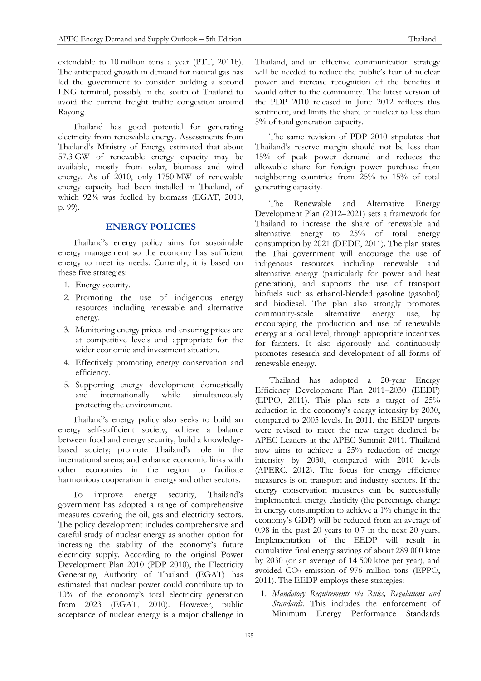extendable to 10 million tons a year (PTT, 2011b). The anticipated growth in demand for natural gas has led the government to consider building a second LNG terminal, possibly in the south of Thailand to avoid the current freight traffic congestion around Rayong.

Thailand has good potential for generating electricity from renewable energy. Assessments from Thailand's Ministry of Energy estimated that about 57.3 GW of renewable energy capacity may be available, mostly from solar, biomass and wind energy. As of 2010, only 1750 MW of renewable energy capacity had been installed in Thailand, of which 92% was fuelled by biomass (EGAT, 2010, p. 99).

# **ENERGY POLICIES**

Thailand's energy policy aims for sustainable energy management so the economy has sufficient energy to meet its needs. Currently, it is based on these five strategies:

- 1. Energy security.
- 2. Promoting the use of indigenous energy resources including renewable and alternative energy.
- 3. Monitoring energy prices and ensuring prices are at competitive levels and appropriate for the wider economic and investment situation.
- 4. Effectively promoting energy conservation and efficiency.
- 5. Supporting energy development domestically and internationally while simultaneously protecting the environment.

Thailand's energy policy also seeks to build an energy self-sufficient society; achieve a balance between food and energy security; build a knowledgebased society; promote Thailand's role in the international arena; and enhance economic links with other economies in the region to facilitate harmonious cooperation in energy and other sectors.

To improve energy security, Thailand's government has adopted a range of comprehensive measures covering the oil, gas and electricity sectors. The policy development includes comprehensive and careful study of nuclear energy as another option for increasing the stability of the economy's future electricity supply. According to the original Power Development Plan 2010 (PDP 2010), the Electricity Generating Authority of Thailand (EGAT) has estimated that nuclear power could contribute up to 10% of the economy's total electricity generation from 2023 (EGAT, 2010). However, public acceptance of nuclear energy is a major challenge in

Thailand, and an effective communication strategy will be needed to reduce the public's fear of nuclear power and increase recognition of the benefits it would offer to the community. The latest version of the PDP 2010 released in June 2012 reflects this sentiment, and limits the share of nuclear to less than 5% of total generation capacity.

The same revision of PDP 2010 stipulates that Thailand's reserve margin should not be less than 15% of peak power demand and reduces the allowable share for foreign power purchase from neighboring countries from 25% to 15% of total generating capacity.

The Renewable and Alternative Energy Development Plan (2012–2021) sets a framework for Thailand to increase the share of renewable and alternative energy to 25% of total energy consumption by 2021 (DEDE, 2011). The plan states the Thai government will encourage the use of indigenous resources including renewable and alternative energy (particularly for power and heat generation), and supports the use of transport biofuels such as ethanol-blended gasoline (gasohol) and biodiesel. The plan also strongly promotes community-scale alternative energy use, by encouraging the production and use of renewable energy at a local level, through appropriate incentives for farmers. It also rigorously and continuously promotes research and development of all forms of renewable energy.

Thailand has adopted a 20-year Energy Efficiency Development Plan 2011–2030 (EEDP) (EPPO, 2011). This plan sets a target of 25% reduction in the economy's energy intensity by 2030, compared to 2005 levels. In 2011, the EEDP targets were revised to meet the new target declared by APEC Leaders at the APEC Summit 2011. Thailand now aims to achieve a 25% reduction of energy intensity by 2030, compared with 2010 levels (APERC, 2012). The focus for energy efficiency measures is on transport and industry sectors. If the energy conservation measures can be successfully implemented, energy elasticity (the percentage change in energy consumption to achieve a 1% change in the economy's GDP) will be reduced from an average of 0.98 in the past 20 years to 0.7 in the next 20 years. Implementation of the EEDP will result in cumulative final energy savings of about 289 000 ktoe by 2030 (or an average of 14 500 ktoe per year), and avoided CO<sup>2</sup> emission of 976 million tons (EPPO, 2011). The EEDP employs these strategies:

1. *Mandatory Requirements via Rules, Regulations and Standards*. This includes the enforcement of Minimum Energy Performance Standards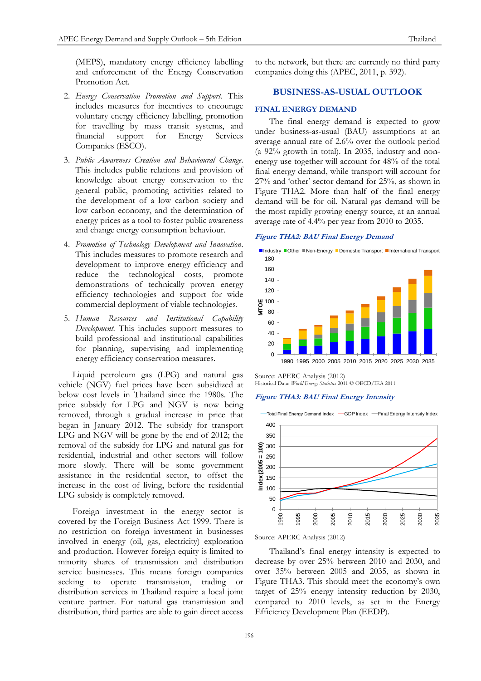(MEPS), mandatory energy efficiency labelling and enforcement of the Energy Conservation Promotion Act.

- 2. *Energy Conservation Promotion and Support*. This includes measures for incentives to encourage voluntary energy efficiency labelling, promotion for travelling by mass transit systems, and financial support for Energy Services Companies (ESCO).
- 3. *Public Awareness Creation and Behavioural Change*. This includes public relations and provision of knowledge about energy conservation to the general public, promoting activities related to the development of a low carbon society and low carbon economy, and the determination of energy prices as a tool to foster public awareness and change energy consumption behaviour.
- 4. *Promotion of Technology Development and Innovation*. This includes measures to promote research and development to improve energy efficiency and reduce the technological costs, promote demonstrations of technically proven energy efficiency technologies and support for wide commercial deployment of viable technologies.
- 5. *Human Resources and Institutional Capability Development*. This includes support measures to build professional and institutional capabilities for planning, supervising and implementing energy efficiency conservation measures.

Liquid petroleum gas (LPG) and natural gas vehicle (NGV) fuel prices have been subsidized at below cost levels in Thailand since the 1980s. The price subsidy for LPG and NGV is now being removed, through a gradual increase in price that began in January 2012. The subsidy for transport LPG and NGV will be gone by the end of 2012; the removal of the subsidy for LPG and natural gas for residential, industrial and other sectors will follow more slowly. There will be some government assistance in the residential sector, to offset the increase in the cost of living, before the residential LPG subsidy is completely removed.

Foreign investment in the energy sector is covered by the Foreign Business Act 1999. There is no restriction on foreign investment in businesses involved in energy (oil, gas, electricity) exploration and production. However foreign equity is limited to minority shares of transmission and distribution service businesses. This means foreign companies seeking to operate transmission, trading or distribution services in Thailand require a local joint venture partner. For natural gas transmission and distribution, third parties are able to gain direct access

to the network, but there are currently no third party companies doing this (APEC, 2011, p. 392).

# **BUSINESS-AS-USUAL OUTLOOK**

## **FINAL ENERGY DEMAND**

The final energy demand is expected to grow under business-as-usual (BAU) assumptions at an average annual rate of 2.6% over the outlook period (a 92% growth in total). In 2035, industry and nonenergy use together will account for 48% of the total final energy demand, while transport will account for 27% and 'other' sector demand for 25%, as shown in Figure THA2. More than half of the final energy demand will be for oil. Natural gas demand will be the most rapidly growing energy source, at an annual average rate of 4.4% per year from 2010 to 2035.

#### **Figure THA2: BAU Final Energy Demand**



Source: APERC Analysis (2012) Historical Data: *World Energy Statistics* 2011 © OECD/IEA 2011

#### **Figure THA3: BAU Final Energy Intensity**



Source: APERC Analysis (2012)

Thailand's final energy intensity is expected to decrease by over 25% between 2010 and 2030, and over 35% between 2005 and 2035, as shown in Figure THA3. This should meet the economy's own target of 25% energy intensity reduction by 2030, compared to 2010 levels, as set in the Energy Efficiency Development Plan (EEDP).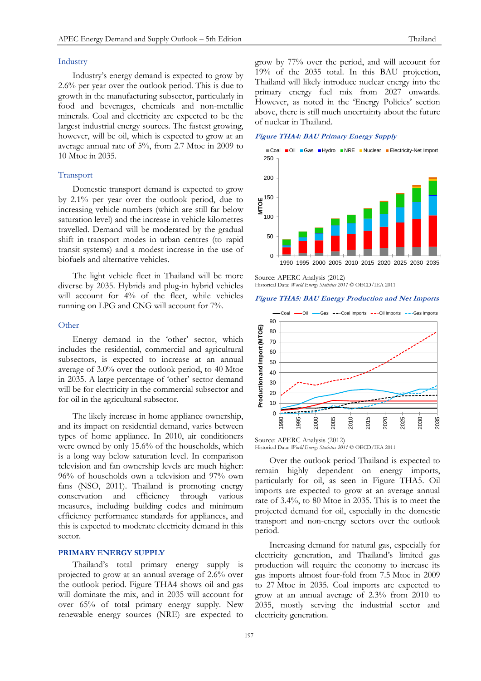### Industry

Industry's energy demand is expected to grow by 2.6% per year over the outlook period. This is due to growth in the manufacturing subsector, particularly in food and beverages, chemicals and non-metallic minerals. Coal and electricity are expected to be the largest industrial energy sources. The fastest growing, however, will be oil, which is expected to grow at an average annual rate of 5%, from 2.7 Mtoe in 2009 to 10 Mtoe in 2035.

## Transport

Domestic transport demand is expected to grow by 2.1% per year over the outlook period, due to increasing vehicle numbers (which are still far below saturation level) and the increase in vehicle kilometres travelled. Demand will be moderated by the gradual shift in transport modes in urban centres (to rapid transit systems) and a modest increase in the use of biofuels and alternative vehicles.

The light vehicle fleet in Thailand will be more diverse by 2035. Hybrids and plug-in hybrid vehicles will account for 4% of the fleet, while vehicles running on LPG and CNG will account for 7%.

#### **Other**

Energy demand in the 'other' sector, which includes the residential, commercial and agricultural subsectors, is expected to increase at an annual average of 3.0% over the outlook period, to 40 Mtoe in 2035. A large percentage of 'other' sector demand will be for electricity in the commercial subsector and for oil in the agricultural subsector.

The likely increase in home appliance ownership, and its impact on residential demand, varies between types of home appliance. In 2010, air conditioners were owned by only 15.6% of the households, which is a long way below saturation level. In comparison television and fan ownership levels are much higher: 96% of households own a television and 97% own fans (NSO, 2011). Thailand is promoting energy conservation and efficiency through various measures, including building codes and minimum efficiency performance standards for appliances, and this is expected to moderate electricity demand in this sector.

# **PRIMARY ENERGY SUPPLY**

Thailand's total primary energy supply is projected to grow at an annual average of 2.6% over the outlook period. Figure THA4 shows oil and gas will dominate the mix, and in 2035 will account for over 65% of total primary energy supply. New renewable energy sources (NRE) are expected to grow by 77% over the period, and will account for 19% of the 2035 total. In this BAU projection, Thailand will likely introduce nuclear energy into the primary energy fuel mix from 2027 onwards. However, as noted in the 'Energy Policies' section above, there is still much uncertainty about the future of nuclear in Thailand.

# **Figure THA4: BAU Primary Energy Supply**



Source: APERC Analysis (2012) Historical Data: *World Energy Statistics 2011* © OECD/IEA 2011

#### **Figure THA5: BAU Energy Production and Net Imports**



Source: APERC Analysis (2012) Historical Data: *World Energy Statistics 2011* © OECD/IEA 2011

Over the outlook period Thailand is expected to remain highly dependent on energy imports, particularly for oil, as seen in Figure THA5. Oil imports are expected to grow at an average annual rate of 3.4%, to 80 Mtoe in 2035. This is to meet the projected demand for oil, especially in the domestic transport and non-energy sectors over the outlook period.

Increasing demand for natural gas, especially for electricity generation, and Thailand's limited gas production will require the economy to increase its gas imports almost four-fold from 7.5 Mtoe in 2009 to 27 Mtoe in 2035. Coal imports are expected to grow at an annual average of 2.3% from 2010 to 2035, mostly serving the industrial sector and electricity generation.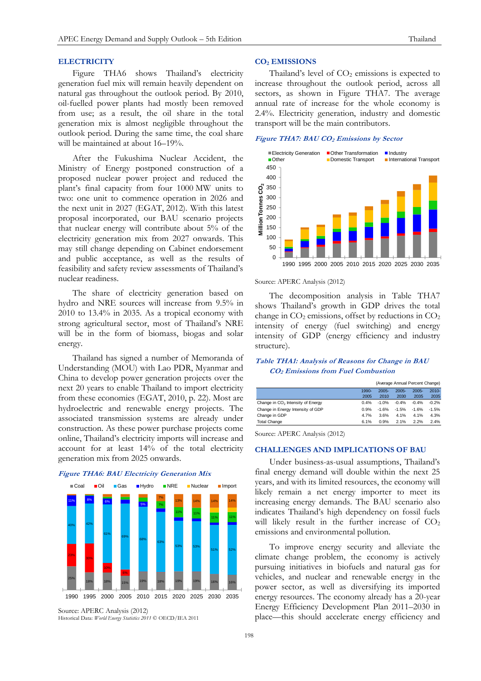# **ELECTRICITY**

Figure THA6 shows Thailand's electricity generation fuel mix will remain heavily dependent on natural gas throughout the outlook period. By 2010, oil-fuelled power plants had mostly been removed from use; as a result, the oil share in the total generation mix is almost negligible throughout the outlook period. During the same time, the coal share will be maintained at about 16–19%.

After the Fukushima Nuclear Accident, the Ministry of Energy postponed construction of a proposed nuclear power project and reduced the plant's final capacity from four 1000 MW units to two: one unit to commence operation in 2026 and the next unit in 2027 (EGAT, 2012). With this latest proposal incorporated, our BAU scenario projects that nuclear energy will contribute about 5% of the electricity generation mix from 2027 onwards. This may still change depending on Cabinet endorsement and public acceptance, as well as the results of feasibility and safety review assessments of Thailand's nuclear readiness.

The share of electricity generation based on hydro and NRE sources will increase from 9.5% in 2010 to 13.4% in 2035. As a tropical economy with strong agricultural sector, most of Thailand's NRE will be in the form of biomass, biogas and solar energy.

Thailand has signed a number of Memoranda of Understanding (MOU) with Lao PDR, Myanmar and China to develop power generation projects over the next 20 years to enable Thailand to import electricity from these economies (EGAT, 2010, p. 22). Most are hydroelectric and renewable energy projects. The associated transmission systems are already under construction. As these power purchase projects come online, Thailand's electricity imports will increase and account for at least 14% of the total electricity generation mix from 2025 onwards.



**Figure THA6: BAU Electricity Generation Mix**

# **CO<sup>2</sup> EMISSIONS**

Thailand's level of  $CO<sub>2</sub>$  emissions is expected to increase throughout the outlook period, across all sectors, as shown in Figure THA7. The average annual rate of increase for the whole economy is 2.4%. Electricity generation, industry and domestic transport will be the main contributors.

# **Figure THA7: BAU CO<sup>2</sup> Emissions by Sector**



#### Source: APERC Analysis (2012)

The decomposition analysis in Table THA7 shows Thailand's growth in GDP drives the total change in  $CO<sub>2</sub>$  emissions, offset by reductions in  $CO<sub>2</sub>$ intensity of energy (fuel switching) and energy intensity of GDP (energy efficiency and industry structure).

# **Table THA1: Analysis of Reasons for Change in BAU CO2 Emissions from Fuel Combustion**

|                                               |       | (Average Annual Percent Change) |          |          |          |
|-----------------------------------------------|-------|---------------------------------|----------|----------|----------|
|                                               | 1990- | $2005 -$                        | $2005 -$ | $2005 -$ | $2010 -$ |
|                                               | 2005  | 2010                            | 2030     | 2035     | 2035     |
| Change in CO <sub>2</sub> Intensity of Energy | 0.4%  | $-1.0%$                         | $-0.4%$  | $-0.4%$  | $-0.2%$  |
| Change in Energy Intensity of GDP             | 0.9%  | $-1.6%$                         | $-1.5%$  | $-1.6%$  | $-1.5%$  |
| Change in GDP                                 | 4.7%  | 3.6%                            | 4.1%     | 4.1%     | 4.3%     |
| <b>Total Change</b>                           | 6.1%  | 0.9%                            | 2.1%     | 2.2%     | 2.4%     |

Source: APERC Analysis (2012)

#### **CHALLENGES AND IMPLICATIONS OF BAU**

Under business-as-usual assumptions, Thailand's final energy demand will double within the next 25 years, and with its limited resources, the economy will likely remain a net energy importer to meet its increasing energy demands. The BAU scenario also indicates Thailand's high dependency on fossil fuels will likely result in the further increase of  $CO<sub>2</sub>$ emissions and environmental pollution.

To improve energy security and alleviate the climate change problem, the economy is actively pursuing initiatives in biofuels and natural gas for vehicles, and nuclear and renewable energy in the power sector, as well as diversifying its imported energy resources. The economy already has a 20-year Energy Efficiency Development Plan 2011–2030 in place—this should accelerate energy efficiency and

Source: APERC Analysis (2012) Historical Data: *World Energy Statistics 2011* © OECD/IEA 2011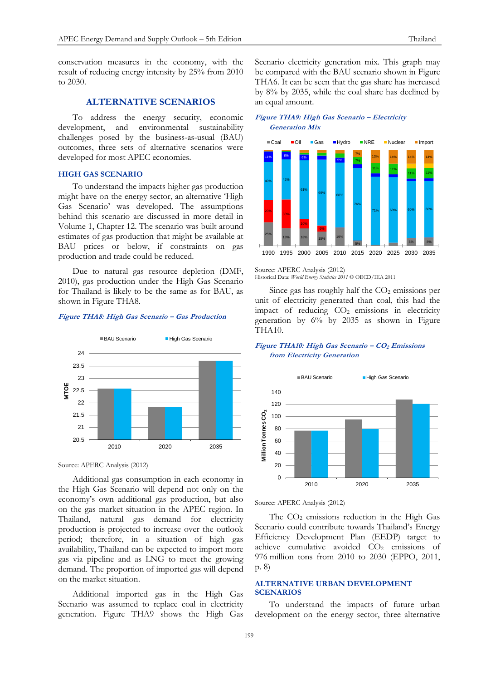conservation measures in the economy, with the result of reducing energy intensity by 25% from 2010 to 2030.

# **ALTERNATIVE SCENARIOS**

To address the energy security, economic development, and environmental sustainability challenges posed by the business-as-usual (BAU) outcomes, three sets of alternative scenarios were developed for most APEC economies.

#### **HIGH GAS SCENARIO**

To understand the impacts higher gas production might have on the energy sector, an alternative 'High Gas Scenario' was developed. The assumptions behind this scenario are discussed in more detail in Volume 1, Chapter 12. The scenario was built around estimates of gas production that might be available at BAU prices or below, if constraints on gas production and trade could be reduced.

Due to natural gas resource depletion (DMF, 2010), gas production under the High Gas Scenario for Thailand is likely to be the same as for BAU, as shown in Figure THA8.

#### **Figure THA8: High Gas Scenario – Gas Production**



Source: APERC Analysis (2012)

Additional gas consumption in each economy in the High Gas Scenario will depend not only on the economy's own additional gas production, but also on the gas market situation in the APEC region. In Thailand, natural gas demand for electricity production is projected to increase over the outlook period; therefore, in a situation of high gas availability, Thailand can be expected to import more gas via pipeline and as LNG to meet the growing demand. The proportion of imported gas will depend on the market situation.

Additional imported gas in the High Gas Scenario was assumed to replace coal in electricity generation. Figure THA9 shows the High Gas Scenario electricity generation mix. This graph may be compared with the BAU scenario shown in Figure THA6. It can be seen that the gas share has increased by 8% by 2035, while the coal share has declined by an equal amount.

# **Figure THA9: High Gas Scenario – Electricity Generation Mix**



Source: APERC Analysis (2012) Historical Data: *World Energy Statistics 2011* © OECD/IEA 2011

Since gas has roughly half the  $CO<sub>2</sub>$  emissions per unit of electricity generated than coal, this had the impact of reducing  $CO<sub>2</sub>$  emissions in electricity generation by 6% by 2035 as shown in Figure THA10.

# **Figure THA10: High Gas Scenario – CO<sup>2</sup> Emissions from Electricity Generation**



Source: APERC Analysis (2012)

The  $CO<sub>2</sub>$  emissions reduction in the High Gas Scenario could contribute towards Thailand's Energy Efficiency Development Plan (EEDP) target to achieve cumulative avoided CO<sub>2</sub> emissions of 976 million tons from 2010 to 2030 (EPPO, 2011, p. 8)

# **ALTERNATIVE URBAN DEVELOPMENT SCENARIOS**

To understand the impacts of future urban development on the energy sector, three alternative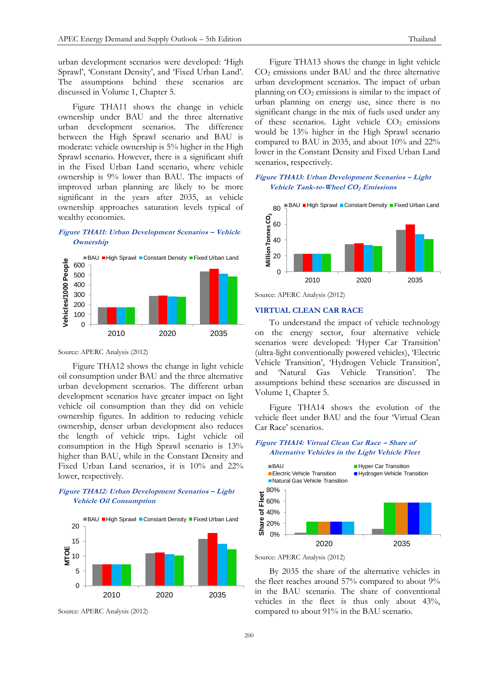urban development scenarios were developed: 'High Sprawl', 'Constant Density', and 'Fixed Urban Land'. The assumptions behind these scenarios are discussed in Volume 1, Chapter 5.

Figure THA11 shows the change in vehicle ownership under BAU and the three alternative urban development scenarios. The difference between the High Sprawl scenario and BAU is moderate: vehicle ownership is 5% higher in the High Sprawl scenario. However, there is a significant shift in the Fixed Urban Land scenario, where vehicle ownership is 9% lower than BAU. The impacts of improved urban planning are likely to be more significant in the years after 2035, as vehicle ownership approaches saturation levels typical of wealthy economies.

# **Figure THA11: Urban Development Scenarios – Vehicle Ownership**



Source: APERC Analysis (2012)

Figure THA12 shows the change in light vehicle oil consumption under BAU and the three alternative urban development scenarios. The different urban development scenarios have greater impact on light vehicle oil consumption than they did on vehicle ownership figures. In addition to reducing vehicle ownership, denser urban development also reduces the length of vehicle trips. Light vehicle oil consumption in the High Sprawl scenario is 13% higher than BAU, while in the Constant Density and Fixed Urban Land scenarios, it is 10% and 22% lower, respectively.

# **Figure THA12: Urban Development Scenarios – Light Vehicle Oil Consumption**



Source: APERC Analysis (2012)

Figure THA13 shows the change in light vehicle CO<sup>2</sup> emissions under BAU and the three alternative urban development scenarios. The impact of urban planning on  $CO<sub>2</sub>$  emissions is similar to the impact of urban planning on energy use, since there is no significant change in the mix of fuels used under any of these scenarios. Light vehicle  $CO<sub>2</sub>$  emissions would be 13% higher in the High Sprawl scenario compared to BAU in 2035, and about 10% and 22% lower in the Constant Density and Fixed Urban Land scenarios, respectively.

## **Figure THA13: Urban Development Scenarios – Light Vehicle Tank-to-Wheel CO2 Emissions**



Source: APERC Analysis (2012)

# **VIRTUAL CLEAN CAR RACE**

To understand the impact of vehicle technology on the energy sector, four alternative vehicle scenarios were developed: 'Hyper Car Transition' (ultra-light conventionally powered vehicles), 'Electric Vehicle Transition', 'Hydrogen Vehicle Transition', and 'Natural Gas Vehicle Transition'. The assumptions behind these scenarios are discussed in Volume 1, Chapter 5.

Figure THA14 shows the evolution of the vehicle fleet under BAU and the four 'Virtual Clean Car Race' scenarios.

# **Figure THA14: Virtual Clean Car Race – Share of Alternative Vehicles in the Light Vehicle Fleet**



Source: APERC Analysis (2012)

By 2035 the share of the alternative vehicles in the fleet reaches around 57% compared to about 9% in the BAU scenario. The share of conventional vehicles in the fleet is thus only about 43%, compared to about 91% in the BAU scenario.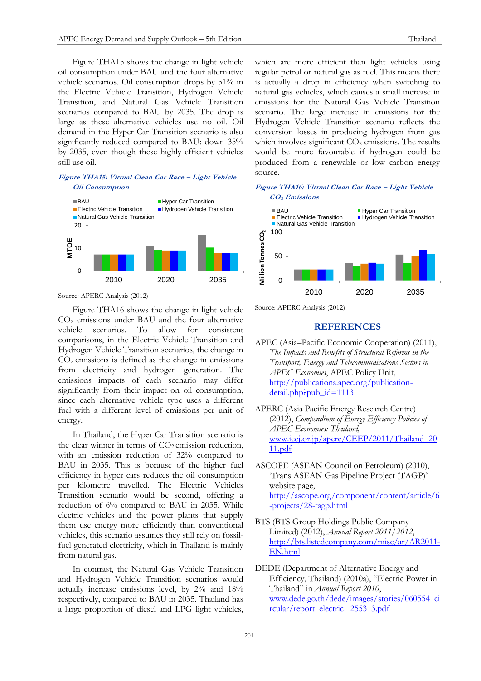Figure THA15 shows the change in light vehicle oil consumption under BAU and the four alternative vehicle scenarios. Oil consumption drops by 51% in the Electric Vehicle Transition, Hydrogen Vehicle Transition, and Natural Gas Vehicle Transition scenarios compared to BAU by 2035. The drop is large as these alternative vehicles use no oil. Oil demand in the Hyper Car Transition scenario is also significantly reduced compared to BAU: down 35% by 2035, even though these highly efficient vehicles still use oil.

#### **Figure THA15: Virtual Clean Car Race – Light Vehicle Oil Consumption**



Source: APERC Analysis (2012)

Figure THA16 shows the change in light vehicle  $CO<sub>2</sub>$  emissions under BAU and the four alternative vehicle scenarios. To allow for consistent comparisons, in the Electric Vehicle Transition and Hydrogen Vehicle Transition scenarios, the change in  $CO<sub>2</sub>$  emissions is defined as the change in emissions from electricity and hydrogen generation. The emissions impacts of each scenario may differ significantly from their impact on oil consumption, since each alternative vehicle type uses a different fuel with a different level of emissions per unit of energy.

In Thailand, the Hyper Car Transition scenario is the clear winner in terms of  $CO<sub>2</sub>$  emission reduction, with an emission reduction of 32% compared to BAU in 2035. This is because of the higher fuel efficiency in hyper cars reduces the oil consumption per kilometre travelled. The Electric Vehicles Transition scenario would be second, offering a reduction of 6% compared to BAU in 2035. While electric vehicles and the power plants that supply them use energy more efficiently than conventional vehicles, this scenario assumes they still rely on fossilfuel generated electricity, which in Thailand is mainly from natural gas.

In contrast, the Natural Gas Vehicle Transition and Hydrogen Vehicle Transition scenarios would actually increase emissions level, by 2% and 18% respectively, compared to BAU in 2035. Thailand has a large proportion of diesel and LPG light vehicles,

which are more efficient than light vehicles using regular petrol or natural gas as fuel. This means there is actually a drop in efficiency when switching to natural gas vehicles, which causes a small increase in emissions for the Natural Gas Vehicle Transition scenario. The large increase in emissions for the Hydrogen Vehicle Transition scenario reflects the conversion losses in producing hydrogen from gas which involves significant  $CO<sub>2</sub>$  emissions. The results would be more favourable if hydrogen could be produced from a renewable or low carbon energy source.

#### **Figure THA16: Virtual Clean Car Race – Light Vehicle CO2 Emissions**



Source: APERC Analysis (2012)

# **REFERENCES**

- APEC (Asia–Pacific Economic Cooperation) (2011), *The Impacts and Benefits of Structural Reforms in the Transport, Energy and Telecommunications Sectors in APEC Economies*, APEC Policy Unit, [http://publications.apec.org/publication](http://publications.apec.org/publication-detail.php?pub_id=1113)[detail.php?pub\\_id=1113](http://publications.apec.org/publication-detail.php?pub_id=1113)
- APERC (Asia Pacific Energy Research Centre) (2012), *Compendium of Energy Efficiency Policies of APEC Economies: Thailand,*  [www.ieej.or.jp/aperc/CEEP/2011/Thailand\\_20](http://www.ieej.or.jp/aperc/CEEP/2011/Thailand_2011.pdf) [11.pdf](http://www.ieej.or.jp/aperc/CEEP/2011/Thailand_2011.pdf)

ASCOPE (ASEAN Council on Petroleum) (2010), 'Trans ASEAN Gas Pipeline Project (TAGP)' website page, [http://ascope.org/component/content/article/6](http://ascope.org/component/content/article/6-projects/28-tagp.html) [-projects/28-tagp.html](http://ascope.org/component/content/article/6-projects/28-tagp.html)

BTS (BTS Group Holdings Public Company Limited) (2012), *Annual Report 2011/2012*, [http://bts.listedcompany.com/misc/ar/AR2011-](http://bts.listedcompany.com/misc/ar/AR2011-EN.html) [EN.html](http://bts.listedcompany.com/misc/ar/AR2011-EN.html)

DEDE (Department of Alternative Energy and Efficiency, Thailand) (2010a), "Electric Power in Thailand" in *Annual Report 2010*, [www.dede.go.th/dede/images/stories/060554\\_ci](http://www.dede.go.th/dede/images/stories/060554_circular/report_electric_%202553_3.pdf) [rcular/report\\_electric\\_ 2553\\_3.pdf](http://www.dede.go.th/dede/images/stories/060554_circular/report_electric_%202553_3.pdf)